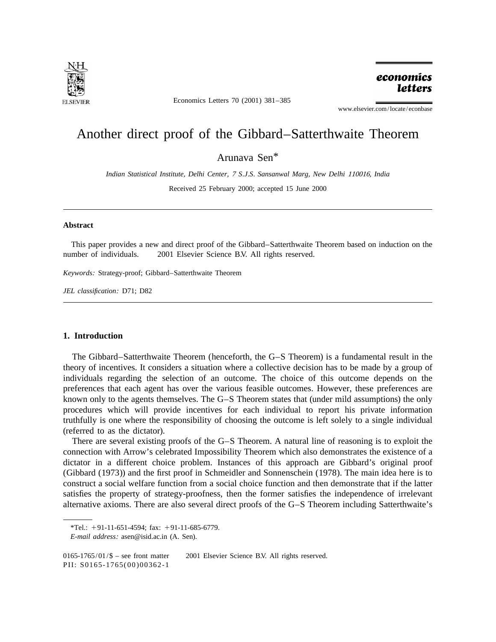

Economics Letters 70 (2001) 381–385

economics **letters** 

www.elsevier.com/locate/econbase

# Another direct proof of the Gibbard–Satterthwaite Theorem

Arunava Sen\*

*Indian Statistical Institute*, *Delhi Center*, <sup>7</sup> *S*.*J*.*S*. *Sansanwal Marg*, *New Delhi* 110016, *India*

Received 25 February 2000; accepted 15 June 2000

#### **Abstract**

This paper provides a new and direct proof of the Gibbard–Satterthwaite Theorem based on induction on the number of individuals.  $\oslash$  2001 Elsevier Science B.V. All rights reserved.

*Keywords*: Strategy-proof; Gibbard–Satterthwaite Theorem

*JEL classification*: D71; D82

## **1. Introduction**

The Gibbard–Satterthwaite Theorem (henceforth, the G–S Theorem) is a fundamental result in the theory of incentives. It considers a situation where a collective decision has to be made by a group of individuals regarding the selection of an outcome. The choice of this outcome depends on the preferences that each agent has over the various feasible outcomes. However, these preferences are known only to the agents themselves. The G–S Theorem states that (under mild assumptions) the only procedures which will provide incentives for each individual to report his private information truthfully is one where the responsibility of choosing the outcome is left solely to a single individual (referred to as the dictator).

There are several existing proofs of the G–S Theorem. A natural line of reasoning is to exploit the connection with Arrow's celebrated Impossibility Theorem which also demonstrates the existence of a dictator in a different choice problem. Instances of this approach are Gibbard's original proof (Gibbard (1973)) and the first proof in Schmeidler and Sonnenschein (1978). The main idea here is to construct a social welfare function from a social choice function and then demonstrate that if the latter satisfies the property of strategy-proofness, then the former satisfies the independence of irrelevant alternative axioms. There are also several direct proofs of the G–S Theorem including Satterthwaite's

0165-1765/01/\$ – see front matter  $\degree$  2001 Elsevier Science B.V. All rights reserved.

PII: S0165-1765(00)00362-1

<sup>\*</sup>Tel.:  $+91-11-651-4594$ ; fax:  $+91-11-685-6779$ .

*E*-*mail address*: asen@isid.ac.in (A. Sen).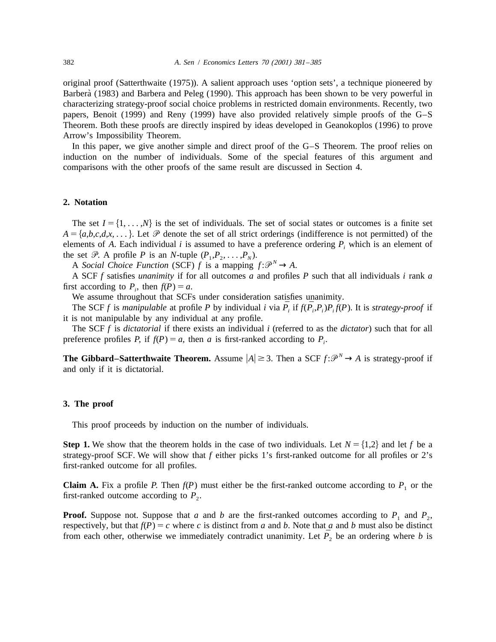original proof (Satterthwaite (1975)). A salient approach uses 'option sets', a technique pioneered by Barberà (1983) and Barbera and Peleg (1990). This approach has been shown to be very powerful in characterizing strategy-proof social choice problems in restricted domain environments. Recently, two papers, Benoit (1999) and Reny (1999) have also provided relatively simple proofs of the G–S Theorem. Both these proofs are directly inspired by ideas developed in Geanokoplos (1996) to prove Arrow's Impossibility Theorem.

In this paper, we give another simple and direct proof of the G–S Theorem. The proof relies on induction on the number of individuals. Some of the special features of this argument and comparisons with the other proofs of the same result are discussed in Section 4.

## **2. Notation**

The set  $I = \{1, \ldots, N\}$  is the set of individuals. The set of social states or outcomes is a finite set  $A = \{a,b,c,d,x,...\}$ . Let  $\mathcal P$  denote the set of all strict orderings (indifference is not permitted) of the elements of *A*. Each individual *i* is assumed to have a preference ordering  $P_i$ , which is an element of the set  $\mathcal{P}$ . A profile *P* is an *N*-tuple  $(P_1, P_2, \ldots, P_N)$ .<br>A *Social Choice Function* (SCF) *f* is a mapping  $f: \mathcal{P}^N \to A$ .

A SCF *f* satisfies *unanimity* if for all outcomes *a* and profiles *P* such that all individuals *i* rank *a* first according to  $P_i$ , then  $f(P) = a$ .

We assume throughout that SCFs under consideration satisfies unanimity.

The SCF *f* is *manipulable* at profile *P* by individual *i* via  $\bar{P}$ , if  $f(\bar{P}$ ,  $P$ ,  $P$ ,  $f(P)$ . It is *strategy-proof* if it is not manipulable by any individual at any profile.

The SCF *f* is *dictatorial* if there exists an individual *i* (referred to as the *dictator*) such that for all preference profiles *P*, if  $f(P) = a$ , then *a* is first-ranked according to  $P_i$ .

**The Gibbard–Satterthwaite Theorem.** Assume  $|A| \ge 3$ . Then a SCF  $f: \mathcal{P}^N \to A$  is strategy-proof if and only if it is dictatorial.

#### **3. The proof**

This proof proceeds by induction on the number of individuals.

**Step 1.** We show that the theorem holds in the case of two individuals. Let  $N = \{1,2\}$  and let f be a strategy-proof SCF. We will show that *f* either picks 1's first-ranked outcome for all profiles or 2's first-ranked outcome for all profiles.

**Claim A.** Fix a profile *P*. Then  $f(P)$  must either be the first-ranked outcome according to  $P_1$  or the first-ranked outcome according to  $P_2$ .

**Proof.** Suppose not. Suppose that *a* and *b* are the first-ranked outcomes according to  $P_1$  and  $P_2$ , respectively, but that  $f(P) = c$  where *c* is distinct from *a* and *b*. Note that *a* and *b* must also be distinct from each other, otherwise we immediately contradict unanimity. Let  $\bar{P}_2$  be an ordering where b is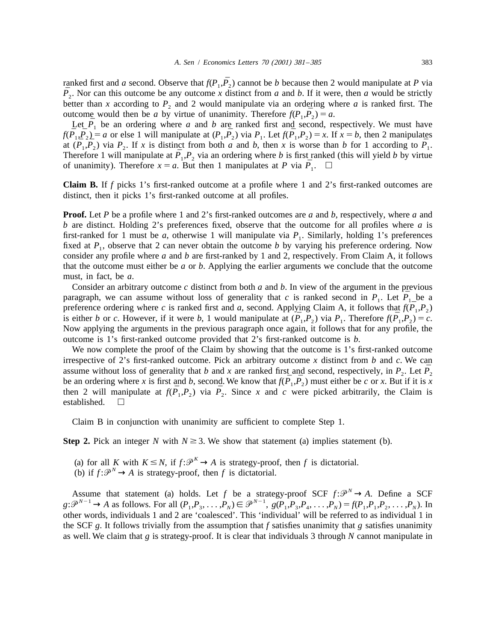ranked first and *a* second. Observe that  $f(P_1, \overline{P_2})$  cannot be *b* because then 2 would manipulate at *P* via  $\overline{P}_2$ . Nor can this outcome be any outcome *x* distinct from *a* and *b*. If it were, then *a* would be strictly better than *x* according to  $P_2$  and 2 would manipulate via an ordering where *a* is ranked first. The outcome would then be *a* by virtue of unanimity. Therefore  $f(P_1, P_2) = a$ .

Let  $\bar{P}_1$  be an ordering where *a* and *b* are ranked first and second, respectively. We must have  $f(\bar{P}_1, \bar{P}_2) = a$  or else 1 will manipulate at  $(P_1, \bar{P}_2)$  via  $P_1$ . Let  $f(\bar{P}_1, P_2) = x$ . If  $x = b$ , then 2 manipulates at  $(\bar{P}_1, \bar{P}_2)$  via  $P_2$ . If *x* is distinct from both *a* and *b*, then *x* is worse than *b* for 1 according to  $\bar{P}_1$ . Therefore 1 will manipulate at  $\bar{P_1}, P_2$  via an ordering where *b* is first ranked (this will yield *b* by virtue of unanimity). Therefore  $x = a$ . But then 1 manipulates at P via  $\overline{P}_1$ .  $\Box$ 

**Claim B.** If *f* picks 1's first-ranked outcome at a profile where 1 and 2's first-ranked outcomes are distinct, then it picks 1's first-ranked outcome at all profiles.

**Proof.** Let *P* be a profile where 1 and 2's first-ranked outcomes are *a* and *b*, respectively, where *a* and *b* are distinct. Holding 2's preferences fixed, observe that the outcome for all profiles where *a* is first-ranked for 1 must be *a*, otherwise 1 will manipulate via  $P_1$ . Similarly, holding 1's preferences fixed at  $P_1$ , observe that 2 can never obtain the outcome *b* by varying his preference ordering. Now consider any profile where *a* and *b* are first-ranked by 1 and 2, respectively. From Claim A, it follows that the outcome must either be *a* or *b*. Applying the earlier arguments we conclude that the outcome must, in fact, be *a*.

Consider an arbitrary outcome *c* distinct from both *a* and *b*. In view of the argument in the previous paragraph, we can assume without loss of generality that *c* is ranked second in  $P_1$ . Let  $\overline{P}_1$  be a preference ordering where *c* is ranked first and *a*, second. Applying Claim A, it follows that  $f(P_1, P_2)$ is either *b* or *c*. However, if it were *b*, 1 would manipulate at  $(\bar{P}_1, P_2)$  via  $P_1$ . Therefore  $f(\bar{P}_1, P_2) = c$ . Now applying the arguments in the previous paragraph once again, it follows that for any profile, the outcome is 1's first-ranked outcome provided that 2's first-ranked outcome is *b*.

We now complete the proof of the Claim by showing that the outcome is 1's first-ranked outcome irrespective of 2's first-ranked outcome. Pick an arbitrary outcome x distinct from b and c. We can assume without loss of generality that b and x are ranked first and second, respectively, in  $P_2$ . Let  $\overline{P}_2$ be an ordering where *x* is first and *b*, second. We know that  $f(\bar{P}_1, \bar{P}_2)$  must either be *c* or *x*. But if it is *x* then 2 will manipulate at  $f(P_1, P_2)$  via  $\overline{P_2}$ . Since *x* and *c* were picked arbitrarily, the Claim is established.  $\square$ 

Claim B in conjunction with unanimity are sufficient to complete Step 1.

**Step 2.** Pick an integer *N* with  $N \geq 3$ . We show that statement (a) implies statement (b).

- (a) for all *K* with  $K \le N$ , if  $f: \mathcal{P}^K \to A$  is strategy-proof, then *f* is dictatorial. (b) if  $f: \mathcal{P}^N \to A$  is strategy-proof, then *f* is dictatorial.
- 

Assume that statement (a) holds. Let f be a strategy-proof SCF  $f: \mathcal{P}^N \to A$ . Define a SCF  $g: \mathcal{P}^{N-1} \to A$  as follows. For all  $(P_1, P_3, \ldots, P_N) \in \mathcal{P}^{N-1}$ ,  $g(P_1, P_3, P_4, \ldots, P_N) = f(P_1, P_1, P_2, \ldots, P_N)$ . In other words, individuals 1 and 2 are 'coalesced'. This 'individual' will be referred to as individual 1 in the SCF  $g$ . It follows trivially from the assumption that  $f$  satisfies unanimity that  $g$  satisfies unanimity as well. We claim that *g* is strategy-proof. It is clear that individuals 3 through *N* cannot manipulate in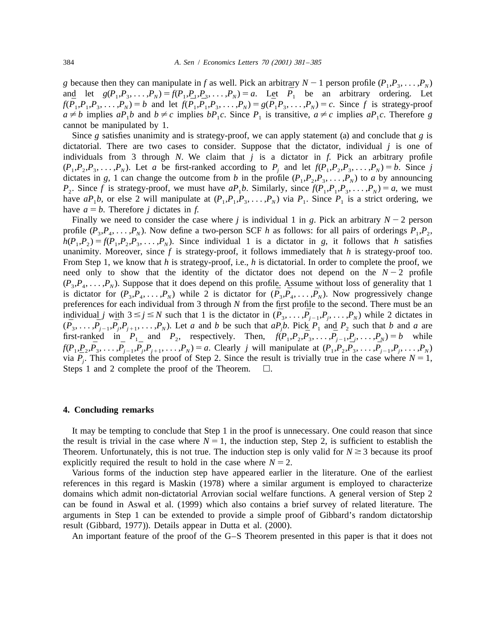*g* because then they can manipulate in *f* as well. Pick an arbitrary  $N-1$  person profile  $(P_1, P_3, \ldots, P_N)$ and let  $g(P_1, P_3, \ldots, P_N) = f(P_1, P_1, P_3, \ldots, P_N) = a$ . Let  $\overline{P}_1$  be an arbitrary ordering. Let  $f(\bar{P}_1, P_1, P_3, \ldots, P_N) = b$  and let  $f(\bar{P}_1, \bar{P}_1, P_3, \ldots, P_N) = g(\bar{P}_1, P_3, \ldots, P_N) = c$ . Since f is strategy-proof  $a \neq b$  implies  $aP_1b$  and  $b \neq c$  implies  $bP_1c$ . Since  $P_1$  is transitive,  $a \neq c$  implies  $aP_1c$ . Therefore *g* cannot be manipulated by 1.

Since *g* satisfies unanimity and is strategy-proof, we can apply statement (a) and conclude that *g* is dictatorial. There are two cases to consider. Suppose that the dictator, individual *j* is one of individuals from 3 through *N*. We claim that *j* is a dictator in *f*. Pick an arbitrary profile  $(P_1, P_2, P_3, \ldots, P_N)$ . Let *a* be first-ranked according to  $P_i$  and let  $f(P_1, P_2, P_3, \ldots, P_N) = b$ . Since *j* dictates in *g*, 1 can change the outcome from *b* in the profile  $(P_1, P_2, P_3, \ldots, P_N)$  to *a* by announcing *P*<sub>2</sub>. Since *f* is strategy-proof, we must have  $aP_1b$ . Similarly, since  $f(P_1, P_1, P_3, \ldots, P_N) = a$ , we must have  $aP_1b$ , or else 2 will manipulate at  $(P_1, P_1, P_3, \ldots, P_N)$  via  $P_1$ . Since  $P_1$  is a strict ordering, we have  $a = b$ . Therefore *j* dictates in *f*.

Finally we need to consider the case where *j* is individual 1 in *g*. Pick an arbitrary  $N - 2$  person profile  $(P_3, P_4, \ldots, P_N)$ . Now define a two-person SCF *h* as follows: for all pairs of orderings  $P_1, P_2,$  $h(P_1, P_2) = f(P_1, P_2, P_3, \ldots, P_N)$ . Since individual 1 is a dictator in *g*, it follows that *h* satisfies unanimity. Moreover, since  $f$  is strategy-proof, it follows immediately that  $h$  is strategy-proof too. From Step 1, we know that *h* is strategy-proof, i.e., *h* is dictatorial. In order to complete the proof, we need only to show that the identity of the dictator does not depend on the  $N-2$  profile  $(P_3, P_4, \ldots, P_N)$ . Suppose that it does depend on this profile. Assume without loss of generality that 1 is dictator for  $(P_3, P_4, \ldots, P_N)$  while 2 is dictator for  $(\bar{P}_3, \bar{P}_4, \ldots, \bar{P}_N)$ . Now progressively change preferences for each individual from 3 through *N* from the first profile to the second. There must be an individual j with  $3 \le j \le N$  such that 1 is the dictator in  $(\bar{P}_3, \ldots, \bar{P}_{j-1}, P_j, \ldots, P_N)$  while 2 dictates in  $(\bar{P}_3,\ldots,\bar{P}_{j-1},\bar{P}_j,P_{j+1},\ldots,P_N)$ . Let a and b be such that  $aP_jb$ . Pick  $P_1$  and  $P_2$  such that b and a are first-ranked in  $P_1$  and  $P_2$ , respectively. Then,  $f(P_1, P_2, \bar{P_3}, \ldots, \bar{P_{j-1}}, P_j, \ldots, P_N) = b$  while  $f(P_1, P_2, \bar{P}_3, \ldots, \bar{P}_{i-1}, \bar{P}_i, P_{i+1}, \ldots, P_N) = a$ . Clearly j will manipulate at  $(P_1, P_2, \bar{P}_3, \ldots, \bar{P}_{i-1}, P_i, \ldots, P_N)$ via  $\bar{P}_i$ . This completes the proof of Step 2. Since the result is trivially true in the case where  $N = 1$ , Steps 1 and 2 complete the proof of the Theorem.  $\Box$ .

#### **4. Concluding remarks**

It may be tempting to conclude that Step 1 in the proof is unnecessary. One could reason that since the result is trivial in the case where  $N = 1$ , the induction step, Step 2, is sufficient to establish the Theorem. Unfortunately, this is not true. The induction step is only valid for  $N \geq 3$  because its proof explicitly required the result to hold in the case where  $N = 2$ .

Various forms of the induction step have appeared earlier in the literature. One of the earliest references in this regard is Maskin (1978) where a similar argument is employed to characterize domains which admit non-dictatorial Arrovian social welfare functions. A general version of Step 2 can be found in Aswal et al. (1999) which also contains a brief survey of related literature. The arguments in Step 1 can be extended to provide a simple proof of Gibbard's random dictatorship result (Gibbard, 1977)). Details appear in Dutta et al. (2000).

An important feature of the proof of the G–S Theorem presented in this paper is that it does not